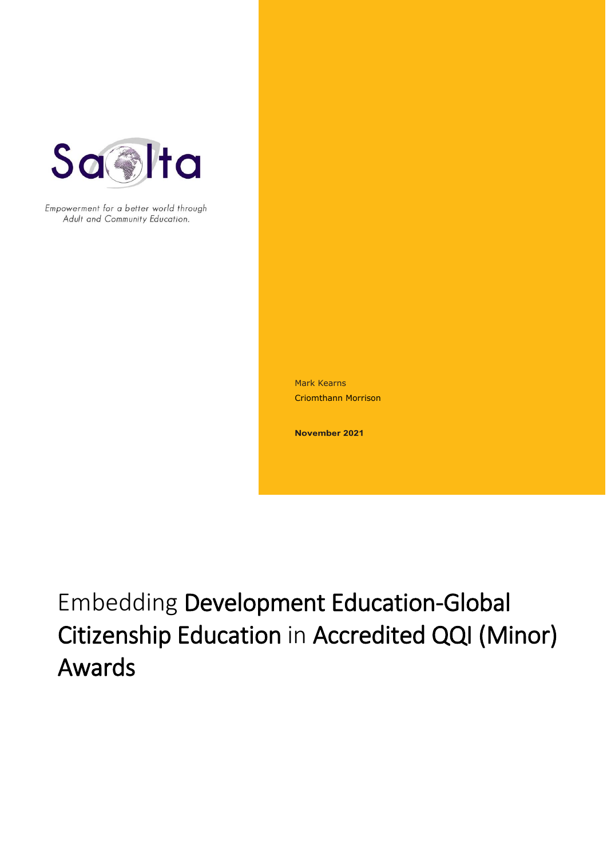

Empowerment for a better world through Adult and Community Education.

> Mark Kearns Criomthann Morrison

November 2021

Embedding Development Education-Global Citizenship Education in Accredited QQI (Minor) Awards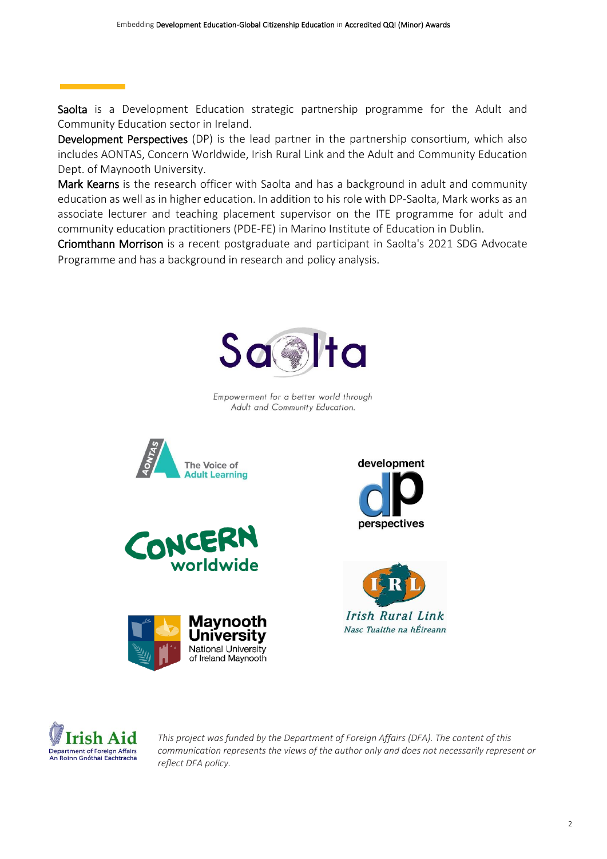Saolta is a Development Education strategic partnership programme for the Adult and Community Education sector in Ireland.

Development Perspectives (DP) is the lead partner in the partnership consortium, which also includes [AONTAS,](https://www.aontas.com/) [Concern Worldwide,](https://www.concern.net/) [Irish Rural Link](https://www.irishrurallink.ie/) and the [Adult and Community Education](https://www.maynoothuniversity.ie/adult-and-community-education)  [Dept. of Maynooth University.](https://www.maynoothuniversity.ie/adult-and-community-education)

Mark Kearns is the research officer with Saolta and has a background in adult and community education as well as in higher education. In addition to his role with DP-Saolta, Mark works as an associate lecturer and teaching placement supervisor on the ITE programme for adult and community education practitioners (PDE-FE) in Marino Institute of Education in Dublin.

Criomthann Morrison is a recent postgraduate and participant in Saolta's 2021 SDG Advocate Programme and has a background in research and policy analysis.



Empowerment for a better world through Adult and Community Education.













*This project was funded by the Department of Foreign Affairs (DFA). The content of this communication represents the views of the author only and does not necessarily represent or reflect DFA policy.*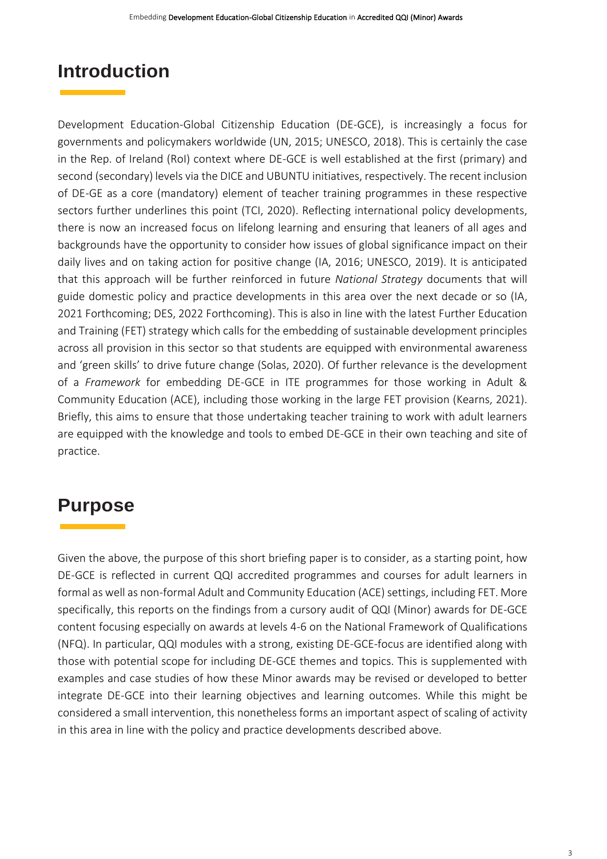# **Introduction**

Development Education-Global Citizenship Education (DE-GCE), is increasingly a focus for governments and policymakers worldwide (UN, 2015; UNESCO, 2018). This is certainly the case in the Rep. of Ireland (RoI) context where DE-GCE is well established at the first (primary) and second (secondary) levels via the DICE and UBUNTU initiatives, respectively. The recent inclusion of DE-GE as a core (mandatory) element of teacher training programmes in these respective sectors further underlines this point (TCI, 2020). Reflecting international policy developments, there is now an increased focus on lifelong learning and ensuring that leaners of all ages and backgrounds have the opportunity to consider how issues of global significance impact on their daily lives and on taking action for positive change (IA, 2016; UNESCO, 2019). It is anticipated that this approach will be further reinforced in future *National Strategy* documents that will guide domestic policy and practice developments in this area over the next decade or so (IA, 2021 Forthcoming; DES, 2022 Forthcoming). This is also in line with the latest Further Education and Training (FET) strategy which calls for the embedding of sustainable development principles across all provision in this sector so that students are equipped with environmental awareness and 'green skills' to drive future change (Solas, 2020). Of further relevance is the development of a *Framework* for embedding DE-GCE in ITE programmes for those working in Adult & Community Education (ACE), including those working in the large FET provision (Kearns, 2021). Briefly, this aims to ensure that those undertaking teacher training to work with adult learners are equipped with the knowledge and tools to embed DE-GCE in their own teaching and site of practice.

# **Purpose**

Given the above, the purpose of this short briefing paper is to consider, as a starting point, how DE-GCE is reflected in current QQI accredited programmes and courses for adult learners in formal as well as non-formal Adult and Community Education (ACE) settings, including FET. More specifically, this reports on the findings from a cursory audit of QQI (Minor) awards for DE-GCE content focusing especially on awards at levels 4-6 on the National Framework of Qualifications (NFQ). In particular, QQI modules with a strong, existing DE-GCE-focus are identified along with those with potential scope for including DE-GCE themes and topics. This is supplemented with examples and case studies of how these Minor awards may be revised or developed to better integrate DE-GCE into their learning objectives and learning outcomes. While this might be considered a small intervention, this nonetheless forms an important aspect of scaling of activity in this area in line with the policy and practice developments described above.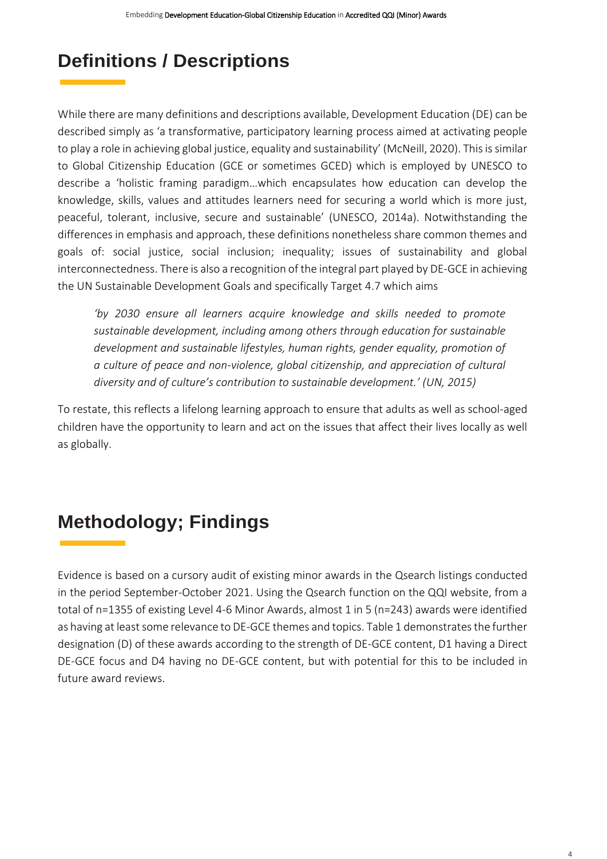# **Definitions / Descriptions**

While there are many definitions and descriptions available, Development Education (DE) can be described simply as 'a transformative, participatory learning process aimed at activating people to play a role in achieving global justice, equality and sustainability' (McNeill, 2020). This is similar to Global Citizenship Education (GCE or sometimes GCED) which is employed by UNESCO to describe a 'holistic framing paradigm…which encapsulates how education can develop the knowledge, skills, values and attitudes learners need for securing a world which is more just, peaceful, tolerant, inclusive, secure and sustainable' (UNESCO, 2014a). Notwithstanding the differences in emphasis and approach, these definitions nonetheless share common themes and goals of: social justice, social inclusion; inequality; issues of sustainability and global interconnectedness. There is also a recognition of the integral part played by DE-GCE in achieving the UN Sustainable Development Goals and specifically Target 4.7 which aims

'by 2030 ensure all learners acquire knowledge and skills needed to promote *sustainable development, including among others through education for sustainable development and sustainable lifestyles, human rights, gender equality, promotion of a culture of peace and non-violence, global citizenship, and appreciation of cultural diversity and of culture's contribution to sustainable development.' (UN, 2015)* 

To restate, this reflects a lifelong learning approach to ensure that adults as well as school-aged children have the opportunity to learn and act on the issues that affect their lives locally as well as globally.

# **Methodology; Findings**

Evidence is based on a cursory audit of existing minor awards in the [Qsearch listings](https://qsearch.qqi.ie/WebPart/Search?searchtype=awards) conducted in the period September-October 2021. Using the Qsearch function on the QQI website, from a total of n=1355 of existing Level 4-6 Minor Awards, almost 1 in 5 (n=243) awards were identified as having at least some relevance to DE-GCE themes and topics. Table 1 demonstrates the further designation (D) of these awards according to the strength of DE-GCE content, D1 having a Direct DE-GCE focus and D4 having no DE-GCE content, but with potential for this to be included in future award reviews.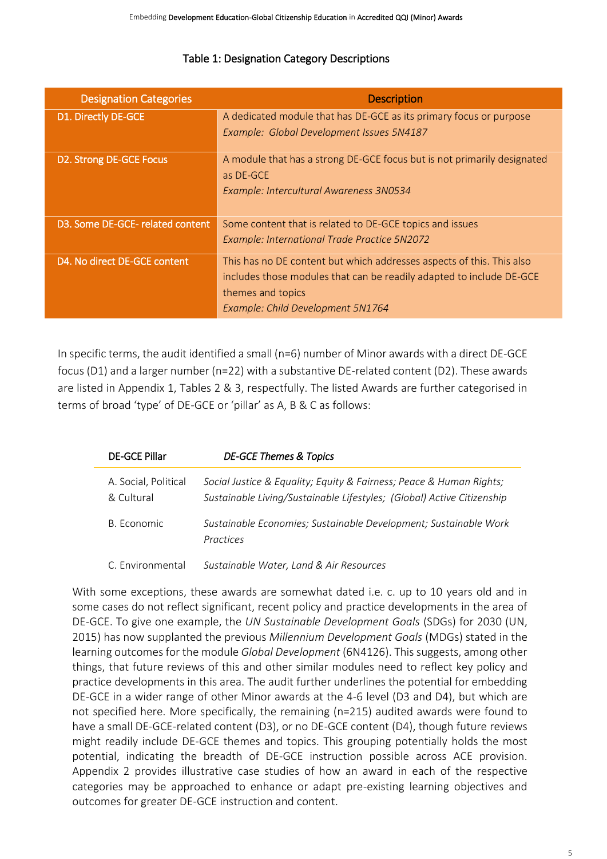| <b>Designation Categories</b>    | <b>Description</b>                                                      |
|----------------------------------|-------------------------------------------------------------------------|
| D1. Directly DE-GCE              | A dedicated module that has DE-GCE as its primary focus or purpose      |
|                                  | Example: Global Development Issues 5N4187                               |
| D2. Strong DE-GCE Focus          | A module that has a strong DE-GCE focus but is not primarily designated |
|                                  | as DE-GCE                                                               |
|                                  | Example: Intercultural Awareness 3N0534                                 |
|                                  |                                                                         |
| D3. Some DE-GCE- related content | Some content that is related to DE-GCE topics and issues                |
|                                  | Example: International Trade Practice 5N2072                            |
| D4. No direct DE-GCE content     | This has no DE content but which addresses aspects of this. This also   |
|                                  | includes those modules that can be readily adapted to include DE-GCE    |
|                                  | themes and topics                                                       |
|                                  | Example: Child Development 5N1764                                       |

## Table 1: Designation Category Descriptions

In specific terms, the audit identified a small (n=6) number of Minor awards with a direct DE-GCE focus (D1) and a larger number (n=22) with a substantive DE-related content (D2). These awards are listed in Appendix 1, Tables 2 & 3, respectfully. The listed Awards are further categorised in terms of broad 'type' of DE-GCE or 'pillar' as A, B & C as follows:

| <b>DE-GCE Pillar</b>               | <b>DE-GCE Themes &amp; Topics</b>                                                                                                             |
|------------------------------------|-----------------------------------------------------------------------------------------------------------------------------------------------|
| A. Social, Political<br>& Cultural | Social Justice & Equality; Equity & Fairness; Peace & Human Rights;<br>Sustainable Living/Sustainable Lifestyles; (Global) Active Citizenship |
| B. Economic                        | Sustainable Economies; Sustainable Development; Sustainable Work<br>Practices                                                                 |
| C. Environmental                   | Sustainable Water, Land & Air Resources                                                                                                       |

With some exceptions, these awards are somewhat dated i.e. c. up to 10 years old and in some cases do not reflect significant, recent policy and practice developments in the area of DE-GCE. To give one example, the *UN Sustainable Development Goals* (SDGs) for 2030 (UN, 2015) has now supplanted the previous *Millennium Development Goals* (MDGs) stated in the learning outcomes for the module *Global [Development](https://www.qqi.ie/sites/docs/AwardsLibraryPdf/6N4126_AwardSpecifications_English.pdf)* (6N4126). This suggests, among other things, that future reviews of this and other similar modules need to reflect key policy and practice developments in this area. The audit further underlines the potential for embedding DE-GCE in a wider range of other Minor awards at the 4-6 level (D3 and D4), but which are not specified here. More specifically, the remaining (n=215) audited awards were found to have a small DE-GCE-related content (D3), or no DE-GCE content (D4), though future reviews might readily include DE-GCE themes and topics. This grouping potentially holds the most potential, indicating the breadth of DE-GCE instruction possible across ACE provision. Appendix 2 provides illustrative case studies of how an award in each of the respective categories may be approached to enhance or adapt pre-existing learning objectives and outcomes for greater DE-GCE instruction and content.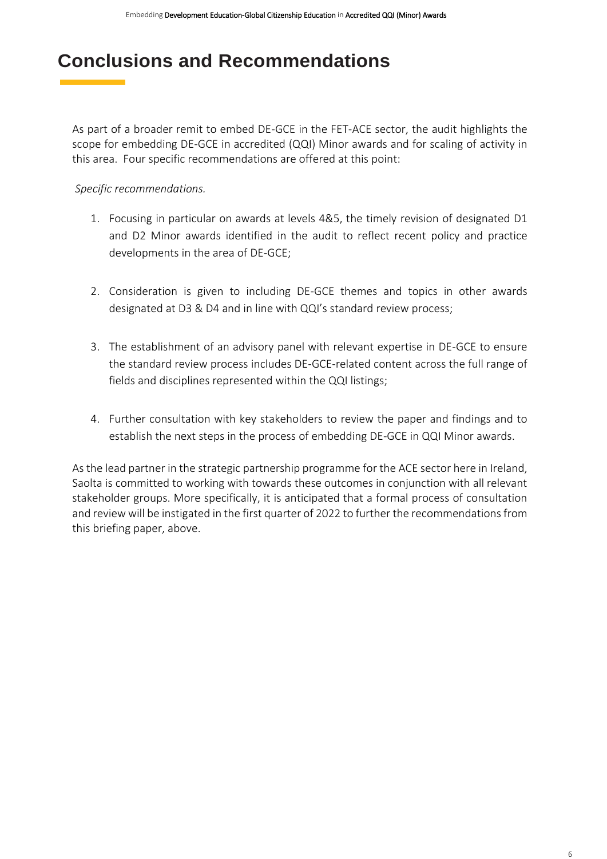## **Conclusions and Recommendations**

As part of a broader remit to embed DE-GCE in the FET-ACE sector, the audit highlights the scope for embedding DE-GCE in accredited (QQI) Minor awards and for scaling of activity in this area. Four specific recommendations are offered at this point:

*Specific recommendations.*

- 1. Focusing in particular on awards at levels 4&5, the timely revision of designated D1 and D2 Minor awards identified in the audit to reflect recent policy and practice developments in the area of DE-GCE;
- 2. Consideration is given to including DE-GCE themes and topics in other awards designated at D3 & D4 and in line with QQI's standard review process;
- 3. The establishment of an advisory panel with relevant expertise in DE-GCE to ensure the standard review process includes DE-GCE-related content across the full range of fields and disciplines represented within the QQI listings;
- 4. Further consultation with key stakeholders to review the paper and findings and to establish the next steps in the process of embedding DE-GCE in QQI Minor awards.

As the lead partner in the strategic partnership programme for the ACE sector here in Ireland, Saolta is committed to working with towards these outcomes in conjunction with all relevant stakeholder groups. More specifically, it is anticipated that a formal process of consultation and review will be instigated in the first quarter of 2022 to further the recommendations from this briefing paper, above.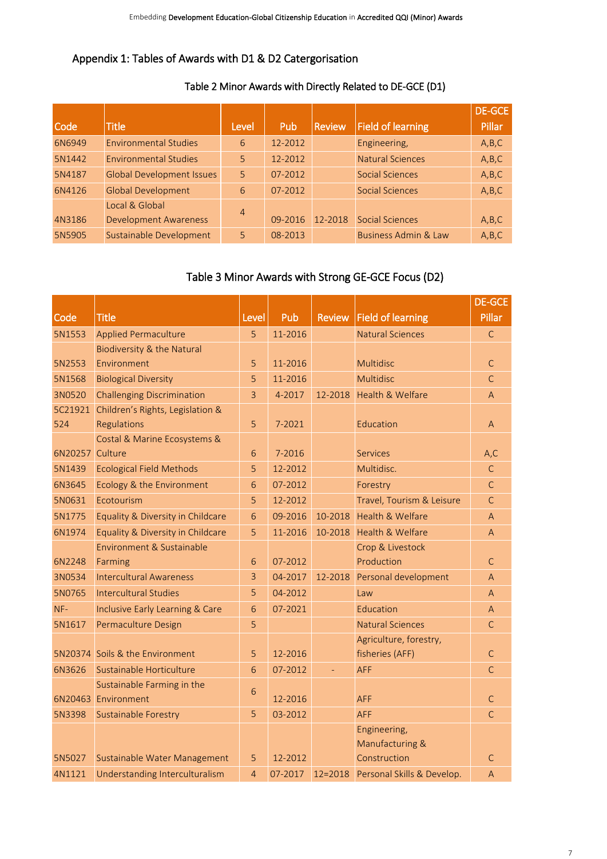## Appendix 1: Tables of Awards with D1 & D2 Catergorisation

## Table 2 Minor Awards with Directly Related to DE-GCE (D1)

|        |                                  |                |         |               |                                 | <b>DE-GCE</b> |
|--------|----------------------------------|----------------|---------|---------------|---------------------------------|---------------|
| Code   | <b>Title</b>                     | Level          | Pub     | <b>Review</b> | <b>Field of learning</b>        | Pillar        |
| 6N6949 | <b>Environmental Studies</b>     | 6              | 12-2012 |               | Engineering,                    | A,B,C         |
| 5N1442 | <b>Environmental Studies</b>     | 5              | 12-2012 |               | <b>Natural Sciences</b>         | A,B,C         |
| 5N4187 | <b>Global Development Issues</b> | 5              | 07-2012 |               | <b>Social Sciences</b>          | A,B,C         |
| 6N4126 | <b>Global Development</b>        | 6              | 07-2012 |               | <b>Social Sciences</b>          | A,B,C         |
|        | Local & Global                   | $\overline{4}$ |         |               |                                 |               |
| 4N3186 | <b>Development Awareness</b>     |                | 09-2016 | 12-2018       | <b>Social Sciences</b>          | A,B,C         |
| 5N5905 | Sustainable Development          | 5.             | 08-2013 |               | <b>Business Admin &amp; Law</b> | A,B,C         |

## Table 3 Minor Awards with Strong GE-GCE Focus (D2)

|                 |                                          |                 |         |               |                                    | <b>DE-GCE</b>  |
|-----------------|------------------------------------------|-----------------|---------|---------------|------------------------------------|----------------|
| Code            | <b>Title</b>                             | Level           | Pub     | <b>Review</b> | <b>Field of learning</b>           | <b>Pillar</b>  |
| 5N1553          | <b>Applied Permaculture</b>              | 5               | 11-2016 |               | <b>Natural Sciences</b>            | $\mathsf{C}$   |
|                 | Biodiversity & the Natural               |                 |         |               |                                    |                |
| 5N2553          | Environment                              | 5               | 11-2016 |               | <b>Multidisc</b>                   | $\mathsf{C}$   |
| 5N1568          | <b>Biological Diversity</b>              | 5               | 11-2016 |               | Multidisc                          | $\mathsf{C}$   |
| 3N0520          | <b>Challenging Discrimination</b>        | $\overline{3}$  | 4-2017  | 12-2018       | Health & Welfare                   | $\overline{A}$ |
|                 | 5C21921 Children's Rights, Legislation & |                 |         |               |                                    |                |
| 524             | Regulations                              | 5               | 7-2021  |               | Education                          | $\overline{A}$ |
|                 | Costal & Marine Ecosystems &             |                 |         |               |                                    |                |
| 6N20257 Culture |                                          | 6               | 7-2016  |               | <b>Services</b>                    | A, C           |
| 5N1439          | <b>Ecological Field Methods</b>          | 5               | 12-2012 |               | Multidisc.                         | $\mathsf{C}$   |
| 6N3645          | Ecology & the Environment                | 6               | 07-2012 |               | Forestry                           | $\mathsf{C}$   |
| 5N0631          | Ecotourism                               | 5               | 12-2012 |               | Travel, Tourism & Leisure          | $\mathsf{C}$   |
| 5N1775          | Equality & Diversity in Childcare        | 6               | 09-2016 | 10-2018       | Health & Welfare                   | $\overline{A}$ |
| 6N1974          | Equality & Diversity in Childcare        | 5               | 11-2016 | 10-2018       | <b>Health &amp; Welfare</b>        | $\overline{A}$ |
|                 | Environment & Sustainable                |                 |         |               | Crop & Livestock                   |                |
| 6N2248          | Farming                                  | 6               | 07-2012 |               | Production                         | $\mathsf{C}$   |
| 3N0534          | <b>Intercultural Awareness</b>           | 3               | 04-2017 | 12-2018       | Personal development               | $\overline{A}$ |
| 5N0765          | <b>Intercultural Studies</b>             | 5               | 04-2012 |               | Law                                | $\overline{A}$ |
| $NF-$           | Inclusive Early Learning & Care          | $6\overline{6}$ | 07-2021 |               | Education                          | $\overline{A}$ |
| 5N1617          | Permaculture Design                      | 5               |         |               | <b>Natural Sciences</b>            | $\mathsf{C}$   |
|                 |                                          |                 |         |               | Agriculture, forestry,             |                |
|                 | 5N20374 Soils & the Environment          | 5               | 12-2016 |               | fisheries (AFF)                    | $\mathsf{C}$   |
| 6N3626          | Sustainable Horticulture                 | 6               | 07-2012 |               | <b>AFF</b>                         | $\mathsf{C}$   |
|                 | Sustainable Farming in the               | 6               |         |               |                                    |                |
|                 | 6N20463 Environment                      |                 | 12-2016 |               | <b>AFF</b>                         | $\mathsf{C}$   |
| 5N3398          | <b>Sustainable Forestry</b>              | 5               | 03-2012 |               | <b>AFF</b>                         | $\mathsf{C}$   |
|                 |                                          |                 |         |               | Engineering,                       |                |
|                 |                                          |                 |         |               | Manufacturing &                    |                |
| 5N5027          | Sustainable Water Management             | 5               | 12-2012 |               | Construction                       | $\mathsf{C}$   |
| 4N1121          | Understanding Interculturalism           | $\overline{4}$  | 07-2017 |               | 12=2018 Personal Skills & Develop. | $\overline{A}$ |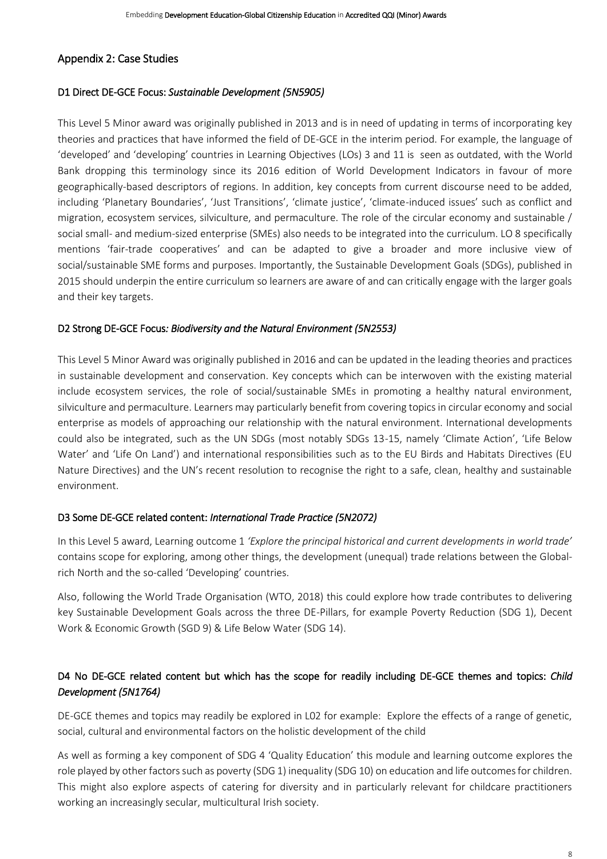## Appendix 2: Case Studies

#### D1 Direct DE-GCE Focus: *[Sustainable Development \(5N5905\)](https://qsearch.qqi.ie/WebPart/AwardDetails?awardCode=5N5905)*

This Level 5 Minor award was originally published in 2013 and is in need of updating in terms of incorporating key theories and practices that have informed the field of DE-GCE in the interim period. For example, the language of 'developed' and 'developing' countries in Learning Objectives (LOs) 3 and 11 is seen as outdated, with the [World](https://blogs.worldbank.org/opendata/should-we-continue-use-term-developing-world)  [Bank dropping this terminology](https://blogs.worldbank.org/opendata/should-we-continue-use-term-developing-world) since its 2016 edition of World Development Indicators in favour of more geographically-based descriptors of regions. In addition, key concepts from current discourse need to be added, including 'Planetary Boundaries', 'Just Transitions', 'climate justice', 'climate-induced issues' such as conflict and migration, ecosystem services, silviculture, and permaculture. The role of the circular economy and sustainable / social small- and medium-sized enterprise (SMEs) also needs to be integrated into the curriculum. LO 8 specifically mentions 'fair-trade cooperatives' and can be adapted to give a broader and more inclusive view of social/sustainable SME forms and purposes. Importantly, the Sustainable Development Goals (SDGs), published in 2015 should underpin the entire curriculum so learners are aware of and can critically engage with the larger goals and their key targets.

#### D2 Strong DE-GCE Focus*[: Biodiversity and the Natural Environment \(5N2553\)](https://qsearch.qqi.ie/WebPart/AwardDetails?awardCode=5N2553)*

This Level 5 Minor Award was originally published in 2016 and can be updated in the leading theories and practices in sustainable development and conservation. Key concepts which can be interwoven with the existing material include ecosystem services, the role of social/sustainable SMEs in promoting a healthy natural environment, silviculture and permaculture. Learners may particularly benefit from covering topics in circular economy and social enterprise as models of approaching our relationship with the natural environment. International developments could also be integrated, such as the UN SDGs (most notably SDGs 13-15, namely 'Climate Action', 'Life Below Water' and 'Life On Land') and international responsibilities such as to the EU Birds and Habitats Directives (EU Nature Directives) and the UN's recent resolution to recognise the right to a safe, clean, healthy and sustainable environment.

### D3 Some DE-GCE related content: *International Trade Practice (5N2072)*

In this Level 5 award, Learning outcome 1 *'Explore the principal historical and current developments in world trade'* contains scope for exploring, among other things, the development (unequal) trade relations between the Globalrich North and the so-called 'Developing' countries.

Also, following the World Trade Organisation (WTO, 2018) this could explore how trade contributes to delivering key Sustainable Development Goals across the three DE-Pillars, for example Poverty Reduction (SDG 1), Decent Work & Economic Growth (SGD 9) & Life Below Water (SDG 14).

## D4 No DE-GCE related content but which has the scope for readily including DE-GCE themes and topics: *Child Development (5N1764)*

DE-GCE themes and topics may readily be explored in L02 for example: Explore the effects of a range of genetic, social, cultural and environmental factors on the holistic development of the child

As well as forming a key component of SDG 4 'Quality Education' this module and learning outcome explores the role played by other factors such as poverty (SDG 1) inequality (SDG 10) on education and life outcomes for children. This might also explore aspects of catering for diversity and in particularly relevant for childcare practitioners working an increasingly secular, multicultural Irish society.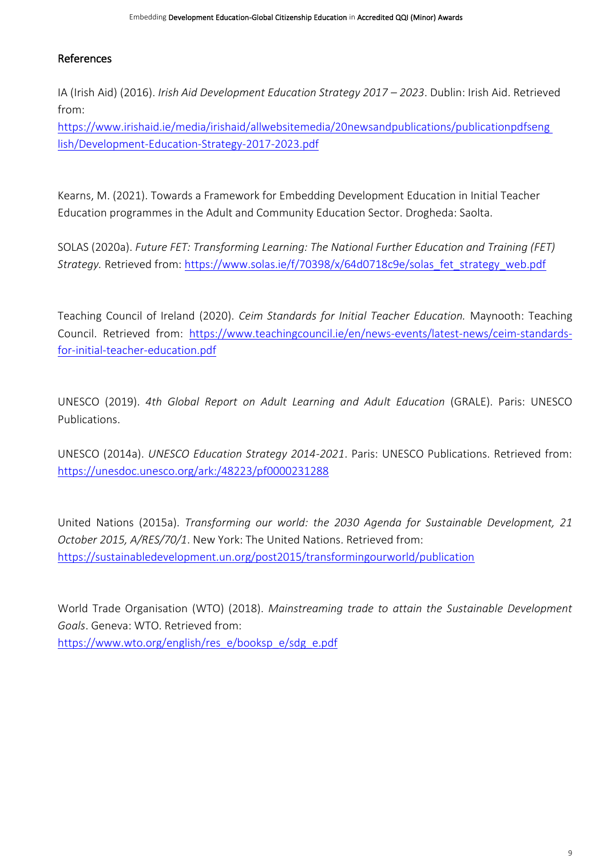### References

IA (Irish Aid) (2016). *Irish Aid Development Education Strategy 2017 – 2023*. Dublin: Irish Aid. Retrieved from:

[https://www.irishaid.ie/media/irishaid/allwebsitemedia/20newsandpublications/publicationpdfseng](https://www.irishaid.ie/media/irishaid/allwebsitemedia/20newsandpublications/publicationpdfseng%20lish/Development-Education-Strategy-2017-2023.pdf)  [lish/Development-Education-Strategy-2017-2023.pdf](https://www.irishaid.ie/media/irishaid/allwebsitemedia/20newsandpublications/publicationpdfseng%20lish/Development-Education-Strategy-2017-2023.pdf)

Kearns, M. (2021). Towards a Framework for Embedding Development Education in Initial Teacher Education programmes in the Adult and Community Education Sector. Drogheda: Saolta.

SOLAS (2020a). *Future FET: Transforming Learning: The National Further Education and Training (FET) Strategy.* Retrieved from: [https://www.solas.ie/f/70398/x/64d0718c9e/solas\\_fet\\_strategy\\_web.pdf](https://www.solas.ie/f/70398/x/64d0718c9e/solas_fet_strategy_web.pdf)

Teaching Council of Ireland (2020). *Ceim Standards for Initial Teacher Education.* Maynooth: Teaching Council. Retrieved from: [https://www.teachingcouncil.ie/en/news-events/latest-news/ceim-standards](https://www.teachingcouncil.ie/en/news-events/latest-news/ceim-standards-for-initial-teacher-education.pdf)[for-initial-teacher-education.pdf](https://www.teachingcouncil.ie/en/news-events/latest-news/ceim-standards-for-initial-teacher-education.pdf)

UNESCO (2019). *4th Global Report on Adult Learning and Adult Education* (GRALE). Paris: UNESCO Publications.

UNESCO (2014a). *UNESCO Education Strategy 2014-2021*. Paris: UNESCO Publications. Retrieved from: <https://unesdoc.unesco.org/ark:/48223/pf0000231288>

United Nations (2015a). *Transforming our world: the 2030 Agenda for Sustainable Development, 21 October 2015, A/RES/70/1*. New York: The United Nations. Retrieved from: <https://sustainabledevelopment.un.org/post2015/transformingourworld/publication>

World Trade Organisation (WTO) (2018). *Mainstreaming trade to attain the Sustainable Development Goals*. Geneva: WTO. Retrieved from: [https://www.wto.org/english/res\\_e/booksp\\_e/sdg\\_e.pdf](https://www.wto.org/english/res_e/booksp_e/sdg_e.pdf)